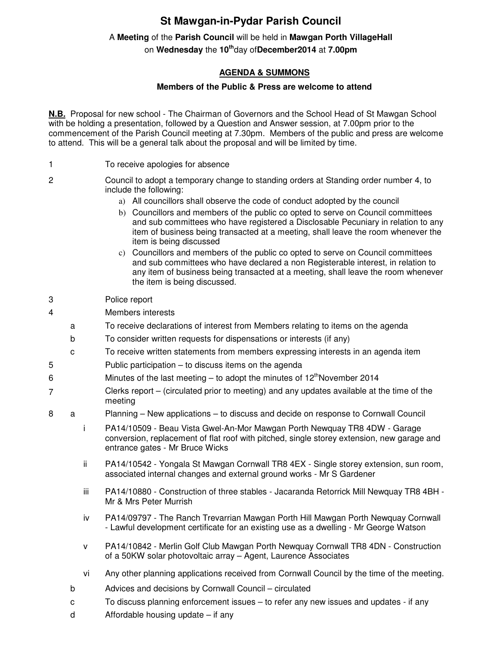## **St Mawgan-in-Pydar Parish Council**

## A **Meeting** of the **Parish Council** will be held in **Mawgan Porth VillageHall**

on **Wednesday** the **10th**day of**December2014** at **7.00pm** 

## **AGENDA & SUMMONS**

## **Members of the Public & Press are welcome to attend**

**N.B.** Proposal for new school - The Chairman of Governors and the School Head of St Mawgan School with be holding a presentation, followed by a Question and Answer session, at 7.00pm prior to the commencement of the Parish Council meeting at 7.30pm. Members of the public and press are welcome to attend. This will be a general talk about the proposal and will be limited by time.

- 1 To receive apologies for absence
- 2 Council to adopt a temporary change to standing orders at Standing order number 4, to include the following:
	- a) All councillors shall observe the code of conduct adopted by the council
	- b) Councillors and members of the public co opted to serve on Council committees and sub committees who have registered a Disclosable Pecuniary in relation to any item of business being transacted at a meeting, shall leave the room whenever the item is being discussed
	- c) Councillors and members of the public co opted to serve on Council committees and sub committees who have declared a non Registerable interest, in relation to any item of business being transacted at a meeting, shall leave the room whenever the item is being discussed.
- 3 Police report
- 4 Members interests
	- a To receive declarations of interest from Members relating to items on the agenda
	- b To consider written requests for dispensations or interests (if any)
	- c To receive written statements from members expressing interests in an agenda item
- 5 Public participation to discuss items on the agenda
- 6 Minutes of the last meeting to adopt the minutes of  $12<sup>th</sup>$ November 2014
- 7 Clerks report – (circulated prior to meeting) and any updates available at the time of the meeting
- 8 a Planning New applications to discuss and decide on response to Cornwall Council
	- i PA14/10509 Beau Vista Gwel-An-Mor Mawgan Porth Newquay TR8 4DW Garage conversion, replacement of flat roof with pitched, single storey extension, new garage and entrance gates - Mr Bruce Wicks
	- ii PA14/10542 Yongala St Mawgan Cornwall TR8 4EX Single storey extension, sun room, associated internal changes and external ground works - Mr S Gardener
	- iii PA14/10880 Construction of three stables Jacaranda Retorrick Mill Newquay TR8 4BH -Mr & Mrs Peter Murrish
	- iv PA14/09797 The Ranch Trevarrian Mawgan Porth Hill Mawgan Porth Newquay Cornwall - Lawful development certificate for an existing use as a dwelling - Mr George Watson
	- v PA14/10842 Merlin Golf Club Mawgan Porth Newquay Cornwall TR8 4DN Construction of a 50KW solar photovoltaic array – Agent, Laurence Associates
	- vi Any other planning applications received from Cornwall Council by the time of the meeting.
	- b Advices and decisions by Cornwall Council circulated
	- c To discuss planning enforcement issues to refer any new issues and updates if any
	- d Affordable housing update if any